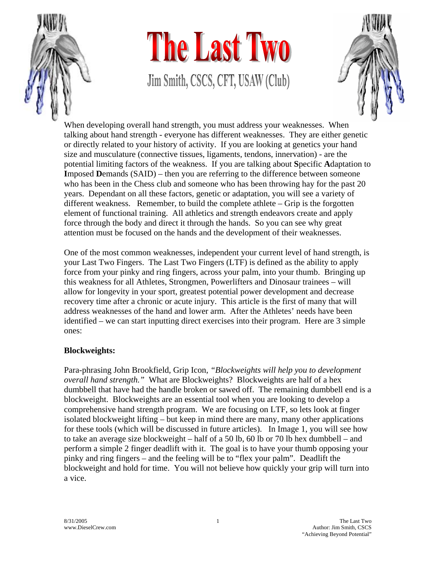

## The Last Two Jim Smith, CSCS, CFT, USAW (Club)



When developing overall hand strength, you must address your weaknesses. When talking about hand strength - everyone has different weaknesses. They are either genetic or directly related to your history of activity. If you are looking at genetics your hand size and musculature (connective tissues, ligaments, tendons, innervation) - are the potential limiting factors of the weakness. If you are talking about **S**pecific **A**daptation to **I**mposed **D**emands (SAID) – then you are referring to the difference between someone who has been in the Chess club and someone who has been throwing hay for the past 20 years. Dependant on all these factors, genetic or adaptation, you will see a variety of different weakness. Remember, to build the complete athlete – Grip is the forgotten element of functional training. All athletics and strength endeavors create and apply force through the body and direct it through the hands. So you can see why great attention must be focused on the hands and the development of their weaknesses.

One of the most common weaknesses, independent your current level of hand strength, is your Last Two Fingers. The Last Two Fingers (LTF) is defined as the ability to apply force from your pinky and ring fingers, across your palm, into your thumb. Bringing up this weakness for all Athletes, Strongmen, Powerlifters and Dinosaur trainees – will allow for longevity in your sport, greatest potential power development and decrease recovery time after a chronic or acute injury. This article is the first of many that will address weaknesses of the hand and lower arm. After the Athletes' needs have been identified – we can start inputting direct exercises into their program. Here are 3 simple ones:

## **Blockweights:**

Para-phrasing John Brookfield, Grip Icon, *"Blockweights will help you to development overall hand strength."* What are Blockweights? Blockweights are half of a hex dumbbell that have had the handle broken or sawed off. The remaining dumbbell end is a blockweight. Blockweights are an essential tool when you are looking to develop a comprehensive hand strength program. We are focusing on LTF, so lets look at finger isolated blockweight lifting – but keep in mind there are many, many other applications for these tools (which will be discussed in future articles). In Image 1, you will see how to take an average size blockweight – half of a 50 lb, 60 lb or 70 lb hex dumbbell – and perform a simple 2 finger deadlift with it. The goal is to have your thumb opposing your pinky and ring fingers – and the feeling will be to "flex your palm". Deadlift the blockweight and hold for time. You will not believe how quickly your grip will turn into a vice.